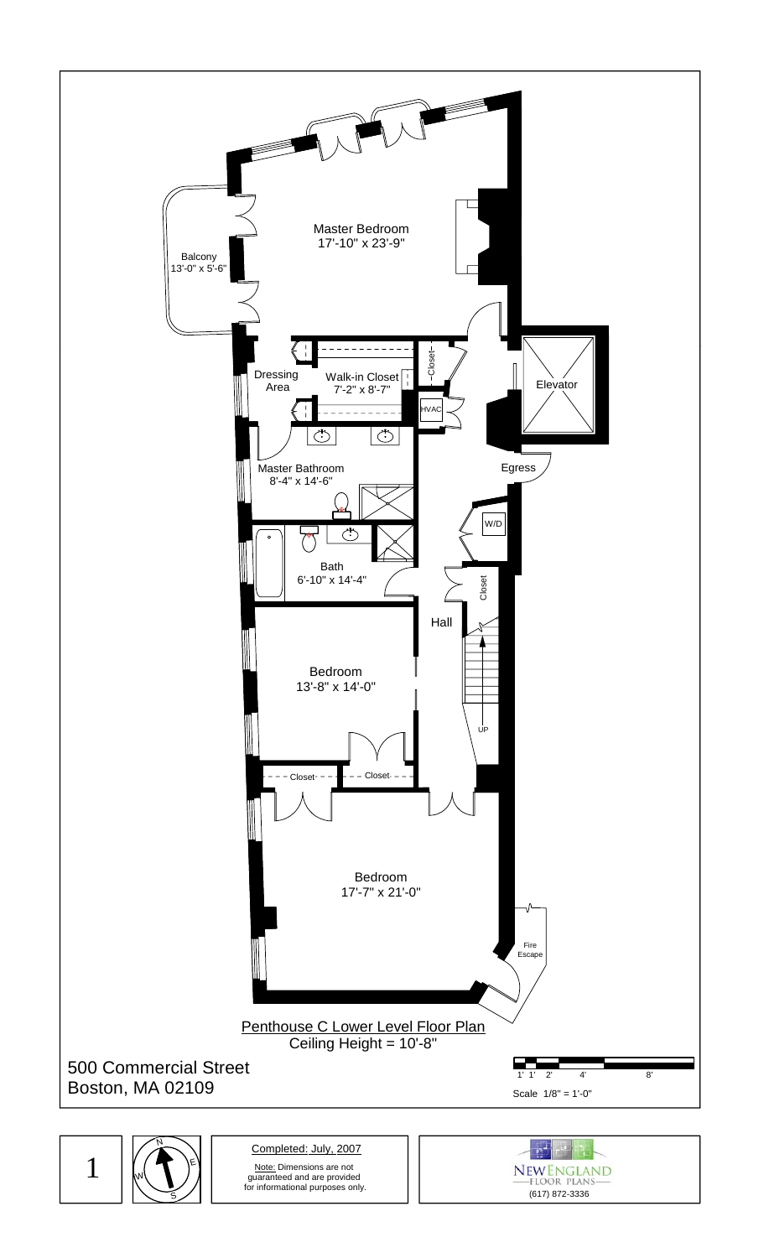

1 W, S E

Note: Dimensions are not guaranteed and are provided for informational purposes only. Completed: July, 2007

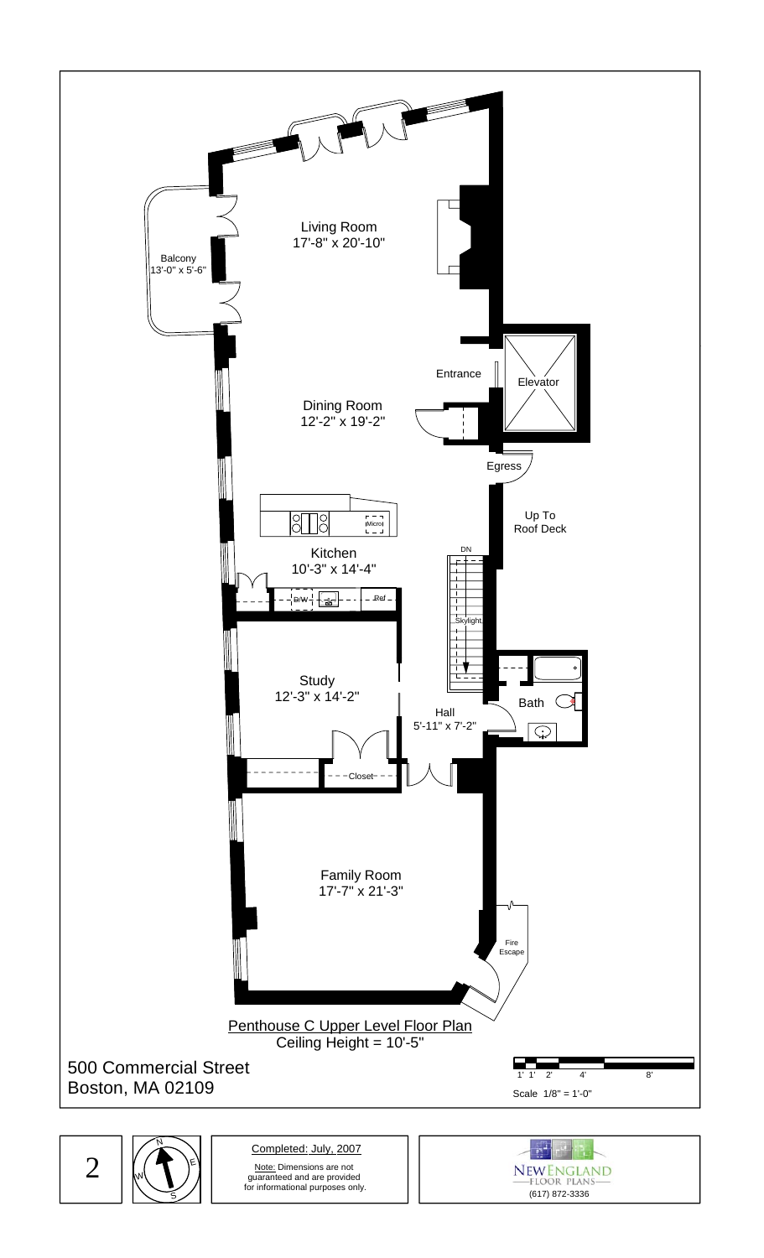

2

S

E

W,

Note: Dimensions are not guaranteed and are provided for informational purposes only. Completed: July, 2007